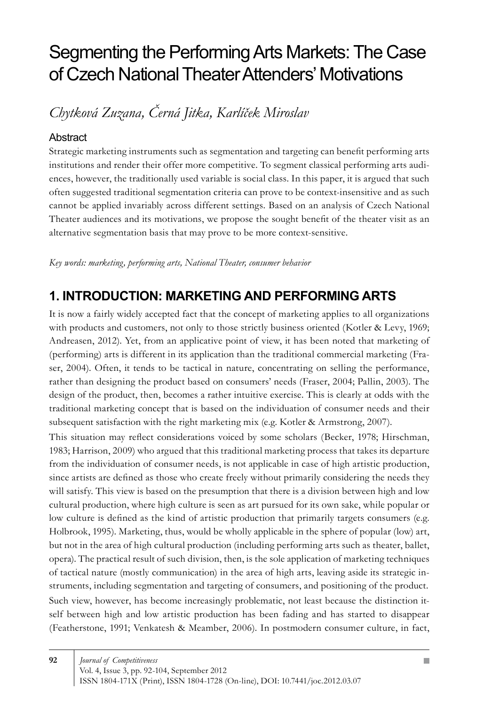# Segmenting the Performing Arts Markets: The Case of Czech National Theater Attenders' Motivations

*Chytková Zuzana, Černá Jitka, Karlíček Miroslav*

#### Abstract

Strategic marketing instruments such as segmentation and targeting can benefit performing arts institutions and render their offer more competitive. To segment classical performing arts audiences, however, the traditionally used variable is social class. In this paper, it is argued that such often suggested traditional segmentation criteria can prove to be context-insensitive and as such cannot be applied invariably across different settings. Based on an analysis of Czech National Theater audiences and its motivations, we propose the sought benefit of the theater visit as an alternative segmentation basis that may prove to be more context-sensitive.

*Key words: marketing, performing arts, National Theater, consumer behavior*

### **1. INTRODUCTION: MARKETING AND PERFORMING ARTS**

It is now a fairly widely accepted fact that the concept of marketing applies to all organizations with products and customers, not only to those strictly business oriented (Kotler & Levy, 1969; Andreasen, 2012). Yet, from an applicative point of view, it has been noted that marketing of (performing) arts is different in its application than the traditional commercial marketing (Fraser, 2004). Often, it tends to be tactical in nature, concentrating on selling the performance, rather than designing the product based on consumers' needs (Fraser, 2004; Pallin, 2003). The design of the product, then, becomes a rather intuitive exercise. This is clearly at odds with the traditional marketing concept that is based on the individuation of consumer needs and their subsequent satisfaction with the right marketing mix (e.g. Kotler & Armstrong, 2007).

This situation may reflect considerations voiced by some scholars (Becker, 1978; Hirschman, 1983; Harrison, 2009) who argued that this traditional marketing process that takes its departure from the individuation of consumer needs, is not applicable in case of high artistic production, since artists are defined as those who create freely without primarily considering the needs they will satisfy. This view is based on the presumption that there is a division between high and low cultural production, where high culture is seen as art pursued for its own sake, while popular or low culture is defined as the kind of artistic production that primarily targets consumers (e.g. Holbrook, 1995). Marketing, thus, would be wholly applicable in the sphere of popular (low) art, but not in the area of high cultural production (including performing arts such as theater, ballet, opera). The practical result of such division, then, is the sole application of marketing techniques of tactical nature (mostly communication) in the area of high arts, leaving aside its strategic instruments, including segmentation and targeting of consumers, and positioning of the product. Such view, however, has become increasingly problematic, not least because the distinction itself between high and low artistic production has been fading and has started to disappear (Featherstone, 1991; Venkatesh & Meamber, 2006). In postmodern consumer culture, in fact,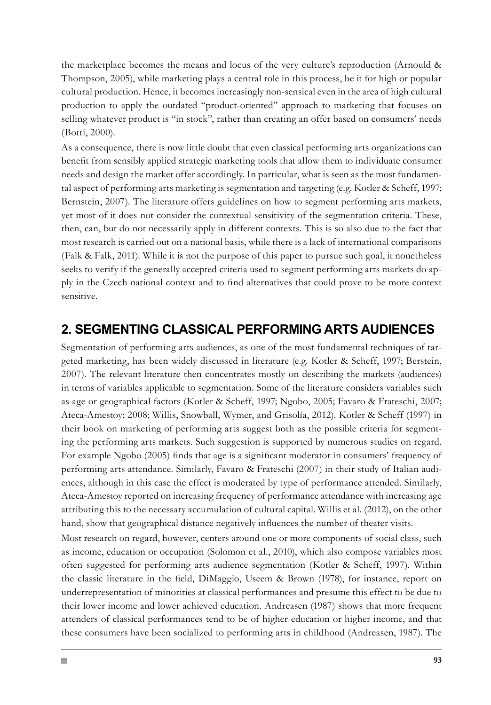the marketplace becomes the means and locus of the very culture's reproduction (Arnould & Thompson, 2005), while marketing plays a central role in this process, be it for high or popular cultural production. Hence, it becomes increasingly non-sensical even in the area of high cultural production to apply the outdated "product-oriented" approach to marketing that focuses on selling whatever product is "in stock", rather than creating an offer based on consumers' needs (Botti, 2000).

As a consequence, there is now little doubt that even classical performing arts organizations can benefit from sensibly applied strategic marketing tools that allow them to individuate consumer needs and design the market offer accordingly. In particular, what is seen as the most fundamental aspect of performing arts marketing is segmentation and targeting (e.g. Kotler & Scheff, 1997; Bernstein, 2007). The literature offers guidelines on how to segment performing arts markets, yet most of it does not consider the contextual sensitivity of the segmentation criteria. These, then, can, but do not necessarily apply in different contexts. This is so also due to the fact that most research is carried out on a national basis, while there is a lack of international comparisons (Falk & Falk, 2011). While it is not the purpose of this paper to pursue such goal, it nonetheless seeks to verify if the generally accepted criteria used to segment performing arts markets do apply in the Czech national context and to find alternatives that could prove to be more context sensitive.

### **2. SEGMENTING CLASSICAL PERFORMING ARTS AUDIENCES**

Segmentation of performing arts audiences, as one of the most fundamental techniques of targeted marketing, has been widely discussed in literature (e.g. Kotler & Scheff, 1997; Berstein, 2007). The relevant literature then concentrates mostly on describing the markets (audiences) in terms of variables applicable to segmentation. Some of the literature considers variables such as age or geographical factors (Kotler & Scheff, 1997; Ngobo, 2005; Favaro & Frateschi, 2007; Ateca-Amestoy; 2008; Willis, Snowball, Wymer, and Grisolía, 2012). Kotler & Scheff (1997) in their book on marketing of performing arts suggest both as the possible criteria for segmenting the performing arts markets. Such suggestion is supported by numerous studies on regard. For example Ngobo (2005) finds that age is a significant moderator in consumers' frequency of performing arts attendance. Similarly, Favaro & Frateschi (2007) in their study of Italian audiences, although in this case the effect is moderated by type of performance attended. Similarly, Ateca-Amestoy reported on increasing frequency of performance attendance with increasing age attributing this to the necessary accumulation of cultural capital. Willis et al. (2012), on the other hand, show that geographical distance negatively influences the number of theater visits.

Most research on regard, however, centers around one or more components of social class, such as income, education or occupation (Solomon et al., 2010), which also compose variables most often suggested for performing arts audience segmentation (Kotler & Scheff, 1997). Within the classic literature in the field, DiMaggio, Useem & Brown (1978), for instance, report on underrepresentation of minorities at classical performances and presume this effect to be due to their lower income and lower achieved education. Andreasen (1987) shows that more frequent attenders of classical performances tend to be of higher education or higher income, and that these consumers have been socialized to performing arts in childhood (Andreasen, 1987). The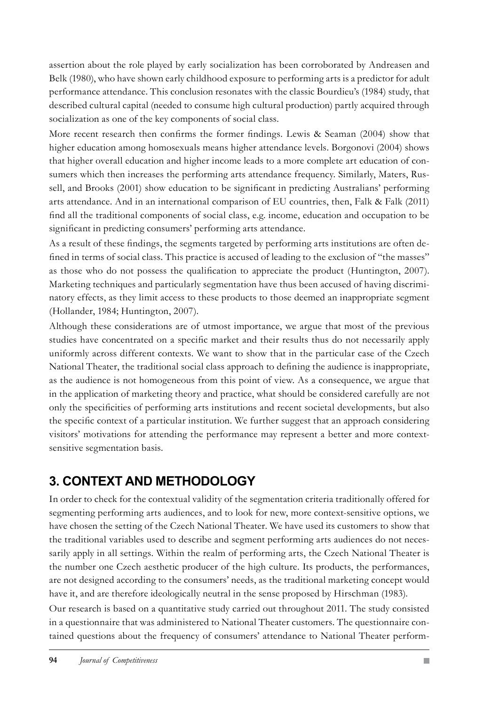assertion about the role played by early socialization has been corroborated by Andreasen and Belk (1980), who have shown early childhood exposure to performing arts is a predictor for adult performance attendance. This conclusion resonates with the classic Bourdieu's (1984) study, that described cultural capital (needed to consume high cultural production) partly acquired through socialization as one of the key components of social class.

More recent research then confirms the former findings. Lewis & Seaman (2004) show that higher education among homosexuals means higher attendance levels. Borgonovi (2004) shows that higher overall education and higher income leads to a more complete art education of consumers which then increases the performing arts attendance frequency. Similarly, Maters, Russell, and Brooks (2001) show education to be significant in predicting Australians' performing arts attendance. And in an international comparison of EU countries, then, Falk & Falk (2011) find all the traditional components of social class, e.g. income, education and occupation to be significant in predicting consumers' performing arts attendance.

As a result of these findings, the segments targeted by performing arts institutions are often defined in terms of social class. This practice is accused of leading to the exclusion of "the masses" as those who do not possess the qualification to appreciate the product (Huntington, 2007). Marketing techniques and particularly segmentation have thus been accused of having discriminatory effects, as they limit access to these products to those deemed an inappropriate segment (Hollander, 1984; Huntington, 2007).

Although these considerations are of utmost importance, we argue that most of the previous studies have concentrated on a specific market and their results thus do not necessarily apply uniformly across different contexts. We want to show that in the particular case of the Czech National Theater, the traditional social class approach to defining the audience is inappropriate, as the audience is not homogeneous from this point of view. As a consequence, we argue that in the application of marketing theory and practice, what should be considered carefully are not only the specificities of performing arts institutions and recent societal developments, but also the specific context of a particular institution. We further suggest that an approach considering visitors' motivations for attending the performance may represent a better and more contextsensitive segmentation basis.

# **3. CONTEXT AND METHODOLOGY**

In order to check for the contextual validity of the segmentation criteria traditionally offered for segmenting performing arts audiences, and to look for new, more context-sensitive options, we have chosen the setting of the Czech National Theater. We have used its customers to show that the traditional variables used to describe and segment performing arts audiences do not necessarily apply in all settings. Within the realm of performing arts, the Czech National Theater is the number one Czech aesthetic producer of the high culture. Its products, the performances, are not designed according to the consumers' needs, as the traditional marketing concept would have it, and are therefore ideologically neutral in the sense proposed by Hirschman (1983).

Our research is based on a quantitative study carried out throughout 2011. The study consisted in a questionnaire that was administered to National Theater customers. The questionnaire contained questions about the frequency of consumers' attendance to National Theater perform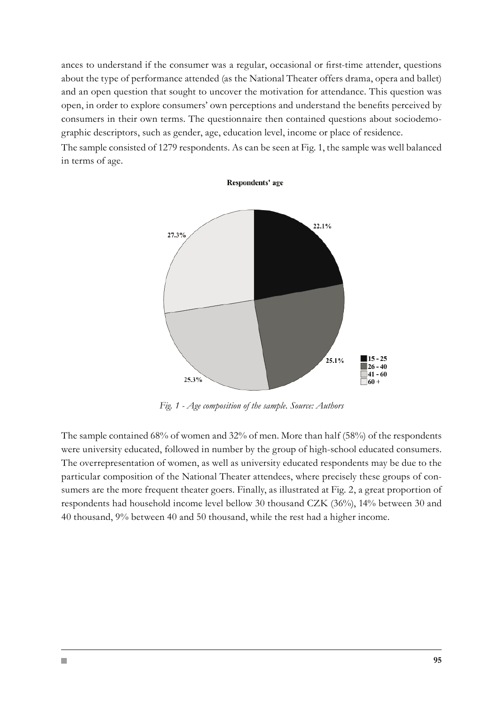ances to understand if the consumer was a regular, occasional or first-time attender, questions about the type of performance attended (as the National Theater offers drama, opera and ballet) and an open question that sought to uncover the motivation for attendance. This question was open, in order to explore consumers' own perceptions and understand the benefits perceived by consumers in their own terms. The questionnaire then contained questions about sociodemographic descriptors, such as gender, age, education level, income or place of residence.

The sample consisted of 1279 respondents. As can be seen at Fig. 1, the sample was well balanced in terms of age.

Respondents' age



*Fig. 1 - Age composition of the sample. Source: Authors*

The sample contained 68% of women and 32% of men. More than half (58%) of the respondents were university educated, followed in number by the group of high-school educated consumers. The overrepresentation of women, as well as university educated respondents may be due to the particular composition of the National Theater attendees, where precisely these groups of consumers are the more frequent theater goers. Finally, as illustrated at Fig. 2, a great proportion of respondents had household income level bellow 30 thousand CZK (36%), 14% between 30 and 40 thousand, 9% between 40 and 50 thousand, while the rest had a higher income.

H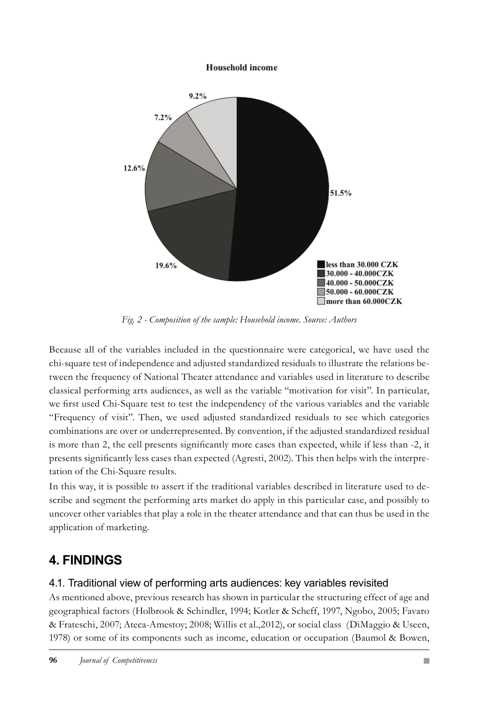#### **Household income**



*Fig. 2 - Composition of the sample: Household income. Source: Authors*

Because all of the variables included in the questionnaire were categorical, we have used the chi-square test of independence and adjusted standardized residuals to illustrate the relations between the frequency of National Theater attendance and variables used in literature to describe classical performing arts audiences, as well as the variable "motivation for visit". In particular, we first used Chi-Square test to test the independency of the various variables and the variable "Frequency of visit". Then, we used adjusted standardized residuals to see which categories combinations are over or underrepresented. By convention, if the adjusted standardized residual is more than 2, the cell presents significantly more cases than expected, while if less than -2, it presents significantly less cases than expected (Agresti, 2002). This then helps with the interpretation of the Chi-Square results.

In this way, it is possible to assert if the traditional variables described in literature used to describe and segment the performing arts market do apply in this particular case, and possibly to uncover other variables that play a role in the theater attendance and that can thus be used in the application of marketing.

### **4. FINDINGS**

### 4.1. Traditional view of performing arts audiences: key variables revisited

As mentioned above, previous research has shown in particular the structuring effect of age and geographical factors (Holbrook & Schindler, 1994; Kotler & Scheff, 1997, Ngobo, 2005; Favaro & Frateschi, 2007; Ateca-Amestoy; 2008; Willis et al.,2012), or social class (DiMaggio & Useen, 1978) or some of its components such as income, education or occupation (Baumol & Bowen,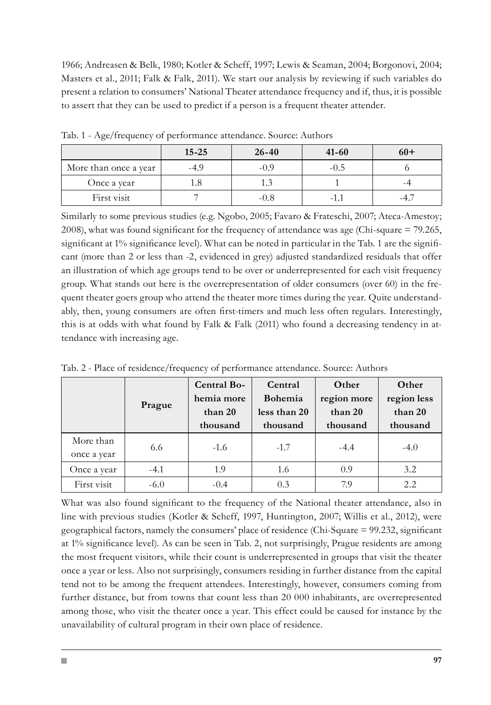1966; Andreasen & Belk, 1980; Kotler & Scheff, 1997; Lewis & Seaman, 2004; Borgonovi, 2004; Masters et al., 2011; Falk & Falk, 2011). We start our analysis by reviewing if such variables do present a relation to consumers' National Theater attendance frequency and if, thus, it is possible to assert that they can be used to predict if a person is a frequent theater attender.

|                       | $15 - 25$ | $26 - 40$ | $41 - 60$ | $60+$ |
|-----------------------|-----------|-----------|-----------|-------|
| More than once a year | -4.9      | $-0.9$    | -0.5      |       |
| Once a year           |           |           |           |       |
| First visit           |           | -0.8      |           |       |

Tab. 1 - Age/frequency of performance attendance. Source: Authors

Similarly to some previous studies (e.g. Ngobo, 2005; Favaro & Frateschi, 2007; Ateca-Amestoy; 2008), what was found significant for the frequency of attendance was age (Chi-square = 79.265, significant at 1% significance level). What can be noted in particular in the Tab. 1 are the significant (more than 2 or less than -2, evidenced in grey) adjusted standardized residuals that offer an illustration of which age groups tend to be over or underrepresented for each visit frequency group. What stands out here is the overrepresentation of older consumers (over 60) in the frequent theater goers group who attend the theater more times during the year. Quite understandably, then, young consumers are often first-timers and much less often regulars. Interestingly, this is at odds with what found by Falk & Falk (2011) who found a decreasing tendency in attendance with increasing age.

|                          | Prague | Central Bo-<br>hemia more<br>than 20<br>thousand | Central<br><b>Bohemia</b><br>less than 20<br>thousand | Other<br>region more<br>than 20<br>thousand | Other<br>region less<br>than 20<br>thousand |
|--------------------------|--------|--------------------------------------------------|-------------------------------------------------------|---------------------------------------------|---------------------------------------------|
| More than<br>once a year | 6.6    | $-1.6$                                           | $-1.7$                                                | $-4.4$                                      | $-4.0$                                      |
| Once a year              | $-4.1$ | 1.9                                              | 1.6                                                   | 0.9                                         | 3.2                                         |
| First visit              | $-6.0$ | $-0.4$                                           | 0.3                                                   | 7.9                                         | 2.2                                         |

Tab. 2 - Place of residence/frequency of performance attendance. Source: Authors

What was also found significant to the frequency of the National theater attendance, also in line with previous studies (Kotler & Scheff, 1997, Huntington, 2007; Willis et al., 2012), were geographical factors, namely the consumers' place of residence (Chi-Square = 99.232, significant at 1% significance level). As can be seen in Tab. 2, not surprisingly, Prague residents are among the most frequent visitors, while their count is underrepresented in groups that visit the theater once a year or less. Also not surprisingly, consumers residing in further distance from the capital tend not to be among the frequent attendees. Interestingly, however, consumers coming from further distance, but from towns that count less than 20 000 inhabitants, are overrepresented among those, who visit the theater once a year. This effect could be caused for instance by the unavailability of cultural program in their own place of residence.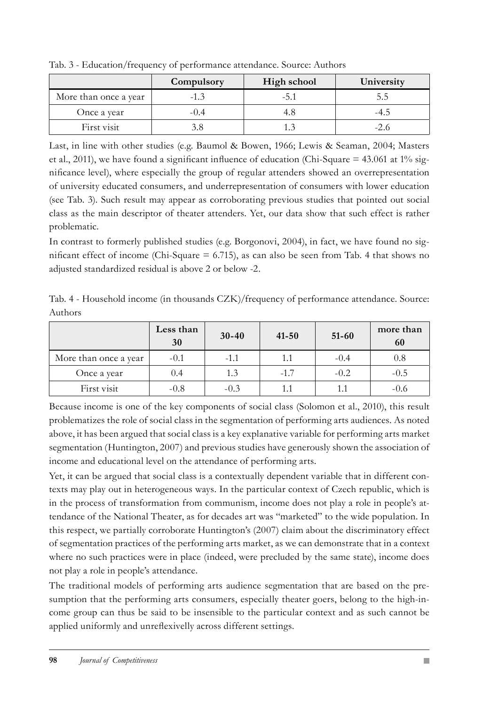|                       | Compulsory | High school | University |  |  |  |  |
|-----------------------|------------|-------------|------------|--|--|--|--|
| More than once a year | $-1.3$     | -5.1        | ל.ל        |  |  |  |  |
| Once a year           | $-()$ .4   |             | -4.5       |  |  |  |  |
| First visit           |            |             | -2.6       |  |  |  |  |

Tab. 3 - Education/frequency of performance attendance. Source: Authors

Last, in line with other studies (e.g. Baumol & Bowen, 1966; Lewis & Seaman, 2004; Masters et al., 2011), we have found a significant influence of education (Chi-Square = 43.061 at 1% significance level), where especially the group of regular attenders showed an overrepresentation of university educated consumers, and underrepresentation of consumers with lower education (see Tab. 3). Such result may appear as corroborating previous studies that pointed out social class as the main descriptor of theater attenders. Yet, our data show that such effect is rather problematic.

In contrast to formerly published studies (e.g. Borgonovi, 2004), in fact, we have found no significant effect of income (Chi-Square  $= 6.715$ ), as can also be seen from Tab. 4 that shows no adjusted standardized residual is above 2 or below -2.

Tab. 4 - Household income (in thousands CZK)/frequency of performance attendance. Source: Authors

|                       | Less than<br>30 | $30 - 40$ | $41 - 50$ | $51 - 60$ | more than<br>60 |
|-----------------------|-----------------|-----------|-----------|-----------|-----------------|
| More than once a year | $-0.1$          | $-1.1$    | 1.1       | $-0.4$    | 0.8             |
| Once a year           | 0.4             | 1.3       | $-1.7$    | $-0.2$    | $-0.5$          |
| First visit           | $-0.8$          | $-0.3$    |           | 1.1       | $-0.6$          |

Because income is one of the key components of social class (Solomon et al., 2010), this result problematizes the role of social class in the segmentation of performing arts audiences. As noted above, it has been argued that social class is a key explanative variable for performing arts market segmentation (Huntington, 2007) and previous studies have generously shown the association of income and educational level on the attendance of performing arts.

Yet, it can be argued that social class is a contextually dependent variable that in different contexts may play out in heterogeneous ways. In the particular context of Czech republic, which is in the process of transformation from communism, income does not play a role in people's attendance of the National Theater, as for decades art was "marketed" to the wide population. In this respect, we partially corroborate Huntington's (2007) claim about the discriminatory effect of segmentation practices of the performing arts market, as we can demonstrate that in a context where no such practices were in place (indeed, were precluded by the same state), income does not play a role in people's attendance.

The traditional models of performing arts audience segmentation that are based on the presumption that the performing arts consumers, especially theater goers, belong to the high-income group can thus be said to be insensible to the particular context and as such cannot be applied uniformly and unreflexivelly across different settings.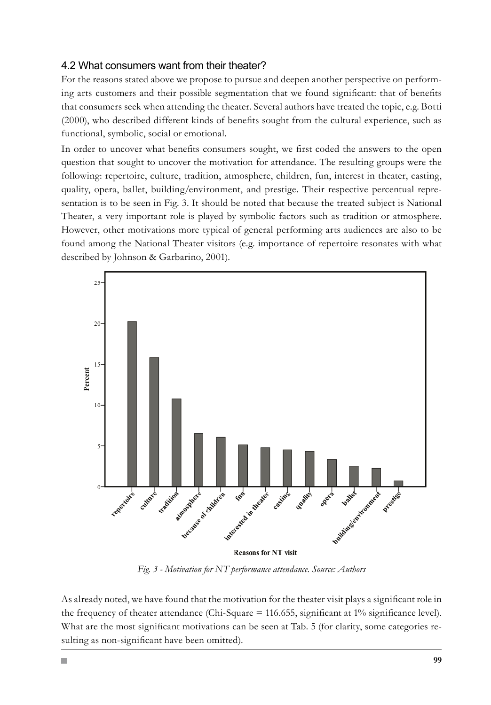#### 4.2 What consumers want from their theater?

For the reasons stated above we propose to pursue and deepen another perspective on performing arts customers and their possible segmentation that we found significant: that of benefits that consumers seek when attending the theater. Several authors have treated the topic, e.g. Botti (2000), who described different kinds of benefits sought from the cultural experience, such as functional, symbolic, social or emotional.

In order to uncover what benefits consumers sought, we first coded the answers to the open question that sought to uncover the motivation for attendance. The resulting groups were the following: repertoire, culture, tradition, atmosphere, children, fun, interest in theater, casting, quality, opera, ballet, building/environment, and prestige. Their respective percentual representation is to be seen in Fig. 3. It should be noted that because the treated subject is National Theater, a very important role is played by symbolic factors such as tradition or atmosphere. However, other motivations more typical of general performing arts audiences are also to be found among the National Theater visitors (e.g. importance of repertoire resonates with what described by Johnson & Garbarino, 2001).



*Fig. 3 - Motivation for NT performance attendance. Source: Authors*

As already noted, we have found that the motivation for the theater visit plays a significant role in the frequency of theater attendance (Chi-Square = 116.655, significant at 1% significance level). What are the most significant motivations can be seen at Tab. 5 (for clarity, some categories resulting as non-significant have been omitted).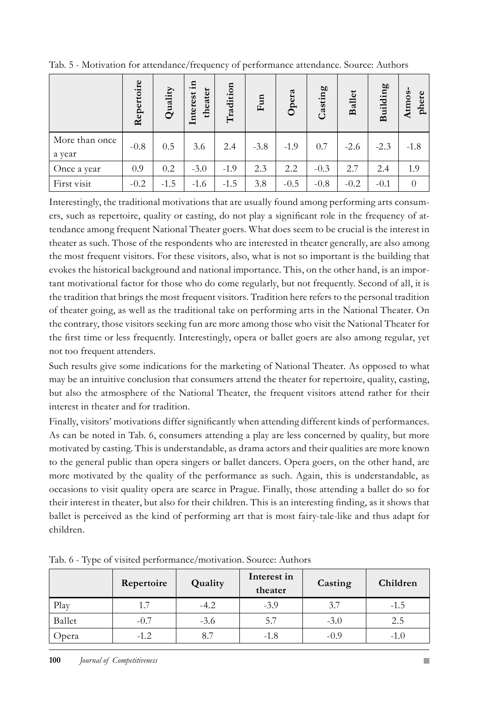|                          | Repertoire | Quality | 'n.<br>theater<br>Interest | Tradition | Fun    | Opera  | Casting | <b>Ballet</b> | <b>Building</b> | Atmos-<br>${\tt phere}$ |
|--------------------------|------------|---------|----------------------------|-----------|--------|--------|---------|---------------|-----------------|-------------------------|
| More than once<br>a year | $-0.8$     | 0.5     | 3.6                        | 2.4       | $-3.8$ | $-1.9$ | 0.7     | $-2.6$        | $-2.3$          | $-1.8$                  |
| Once a year              | 0.9        | 0.2     | $-3.0$                     | $-1.9$    | 2.3    | 2.2    | $-0.3$  | 2.7           | 2.4             | 1.9                     |
| First visit              | $-0.2$     | $-1.5$  | $-1.6$                     | $-1.5$    | 3.8    | $-0.5$ | $-0.8$  | $-0.2$        | $-0.1$          | $\theta$                |

Tab. 5 - Motivation for attendance/frequency of performance attendance. Source: Authors

Interestingly, the traditional motivations that are usually found among performing arts consumers, such as repertoire, quality or casting, do not play a significant role in the frequency of attendance among frequent National Theater goers. What does seem to be crucial is the interest in theater as such. Those of the respondents who are interested in theater generally, are also among the most frequent visitors. For these visitors, also, what is not so important is the building that evokes the historical background and national importance. This, on the other hand, is an important motivational factor for those who do come regularly, but not frequently. Second of all, it is the tradition that brings the most frequent visitors. Tradition here refers to the personal tradition of theater going, as well as the traditional take on performing arts in the National Theater. On the contrary, those visitors seeking fun are more among those who visit the National Theater for the first time or less frequently. Interestingly, opera or ballet goers are also among regular, yet not too frequent attenders.

Such results give some indications for the marketing of National Theater. As opposed to what may be an intuitive conclusion that consumers attend the theater for repertoire, quality, casting, but also the atmosphere of the National Theater, the frequent visitors attend rather for their interest in theater and for tradition.

Finally, visitors' motivations differ significantly when attending different kinds of performances. As can be noted in Tab. 6, consumers attending a play are less concerned by quality, but more motivated by casting. This is understandable, as drama actors and their qualities are more known to the general public than opera singers or ballet dancers. Opera goers, on the other hand, are more motivated by the quality of the performance as such. Again, this is understandable, as occasions to visit quality opera are scarce in Prague. Finally, those attending a ballet do so for their interest in theater, but also for their children. This is an interesting finding, as it shows that ballet is perceived as the kind of performing art that is most fairy-tale-like and thus adapt for children.

|        | Repertoire | Quality | Interest in<br>theater | Casting | Children |
|--------|------------|---------|------------------------|---------|----------|
| Play   |            | $-4.2$  | $-3.9$                 | 3.7     | $-1.5$   |
| Ballet | $-0.7$     | $-3.6$  | 5.7                    | $-3.0$  | 2.5      |
| Opera  | $-1.2$     | 8.7     | $-1.8$                 | $-0.9$  | $-1.0$   |

Tab. 6 - Type of visited performance/motivation. Source: Authors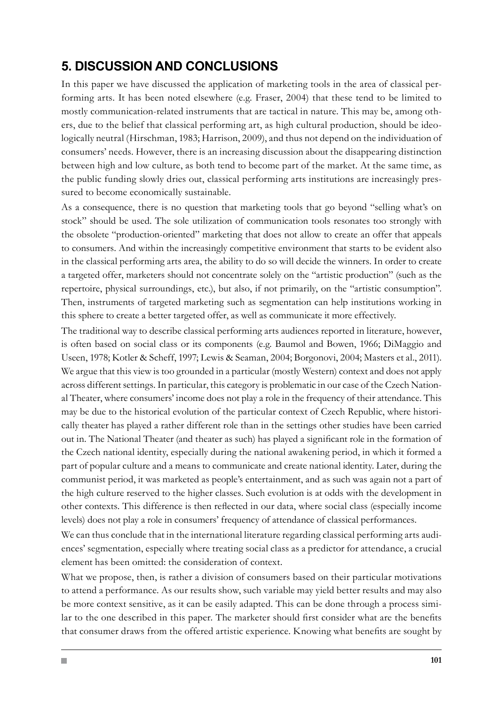## **5. DISCUSSION AND CONCLUSIONS**

In this paper we have discussed the application of marketing tools in the area of classical performing arts. It has been noted elsewhere (e.g. Fraser, 2004) that these tend to be limited to mostly communication-related instruments that are tactical in nature. This may be, among others, due to the belief that classical performing art, as high cultural production, should be ideologically neutral (Hirschman, 1983; Harrison, 2009), and thus not depend on the individuation of consumers' needs. However, there is an increasing discussion about the disappearing distinction between high and low culture, as both tend to become part of the market. At the same time, as the public funding slowly dries out, classical performing arts institutions are increasingly pressured to become economically sustainable.

As a consequence, there is no question that marketing tools that go beyond "selling what's on stock" should be used. The sole utilization of communication tools resonates too strongly with the obsolete "production-oriented" marketing that does not allow to create an offer that appeals to consumers. And within the increasingly competitive environment that starts to be evident also in the classical performing arts area, the ability to do so will decide the winners. In order to create a targeted offer, marketers should not concentrate solely on the "artistic production" (such as the repertoire, physical surroundings, etc.), but also, if not primarily, on the "artistic consumption". Then, instruments of targeted marketing such as segmentation can help institutions working in this sphere to create a better targeted offer, as well as communicate it more effectively.

The traditional way to describe classical performing arts audiences reported in literature, however, is often based on social class or its components (e.g. Baumol and Bowen, 1966; DiMaggio and Useen, 1978; Kotler & Scheff, 1997; Lewis & Seaman, 2004; Borgonovi, 2004; Masters et al., 2011). We argue that this view is too grounded in a particular (mostly Western) context and does not apply across different settings. In particular, this category is problematic in our case of the Czech National Theater, where consumers' income does not play a role in the frequency of their attendance. This may be due to the historical evolution of the particular context of Czech Republic, where historically theater has played a rather different role than in the settings other studies have been carried out in. The National Theater (and theater as such) has played a significant role in the formation of the Czech national identity, especially during the national awakening period, in which it formed a part of popular culture and a means to communicate and create national identity. Later, during the communist period, it was marketed as people's entertainment, and as such was again not a part of the high culture reserved to the higher classes. Such evolution is at odds with the development in other contexts. This difference is then reflected in our data, where social class (especially income levels) does not play a role in consumers' frequency of attendance of classical performances.

We can thus conclude that in the international literature regarding classical performing arts audiences' segmentation, especially where treating social class as a predictor for attendance, a crucial element has been omitted: the consideration of context.

What we propose, then, is rather a division of consumers based on their particular motivations to attend a performance. As our results show, such variable may yield better results and may also be more context sensitive, as it can be easily adapted. This can be done through a process similar to the one described in this paper. The marketer should first consider what are the benefits that consumer draws from the offered artistic experience. Knowing what benefits are sought by

H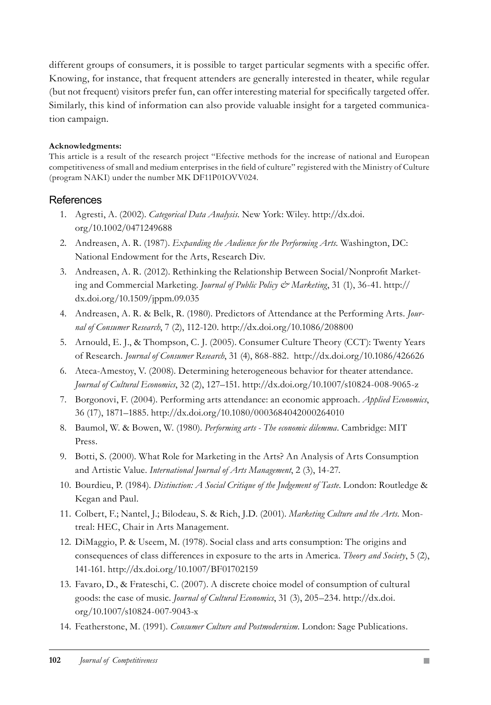different groups of consumers, it is possible to target particular segments with a specific offer. Knowing, for instance, that frequent attenders are generally interested in theater, while regular (but not frequent) visitors prefer fun, can offer interesting material for specifically targeted offer. Similarly, this kind of information can also provide valuable insight for a targeted communication campaign.

#### **Acknowledgments:**

This article is a result of the research project "Efective methods for the increase of national and European competitiveness of small and medium enterprises in the field of culture" registered with the Ministry of Culture (program NAKI) under the number MK DF11P01OVV024.

#### **References**

- Agresti, A. (2002). *Categorical Data Analysis*. New York: Wiley. http://dx.doi. 1. org/10.1002/0471249688
- 2. Andreasen, A. R. (1987). *Expanding the Audience for the Performing Arts*. Washington, DC: National Endowment for the Arts, Research Div.
- 3. Andreasen, A. R. (2012). Rethinking the Relationship Between Social/Nonprofit Marketing and Commercial Marketing. *Journal of Public Policy & Marketing*, 31 (1), 36-41. http:// dx.doi.org/10.1509/jppm.09.035
- Andreasen, A. R. & Belk, R. (1980). Predictors of Attendance at the Performing Arts. *Jour-*4. *nal of Consumer Research*, 7 (2), 112-120. http://dx.doi.org/10.1086/208800
- 5. Arnould, E. J., & Thompson, C. J. (2005). Consumer Culture Theory (CCT): Twenty Years of Research. *Journal of Consumer Research*, 31 (4), 868-882. http://dx.doi.org/10.1086/426626
- Ateca-Amestoy, V. (2008). Determining heterogeneous behavior for theater attendance. 6. *Journal of Cultural Economics*, 32 (2), 127–151. http://dx.doi.org/10.1007/s10824-008-9065-z
- 7. Borgonovi, F. (2004). Performing arts attendance: an economic approach. *Applied Economics*, 36 (17), 1871–1885. http://dx.doi.org/10.1080/0003684042000264010
- 8. Baumol, W. & Bowen, W. (1980). Performing arts The economic dilemma. Cambridge: MIT Press.
- 9. Botti, S. (2000). What Role for Marketing in the Arts? An Analysis of Arts Consumption and Artistic Value. *International Journal of Arts Management*, 2 (3), 14-27.
- 10. Bourdieu, P. (1984). *Distinction: A Social Critique of the Judgement of Taste*. London: Routledge & Kegan and Paul.
- 11. Colbert, F.; Nantel, J.; Bilodeau, S. & Rich, J.D. (2001). *Marketing Culture and the Arts*. Montreal: HEC, Chair in Arts Management.
- 12. DiMaggio, P. & Useem, M. (1978). Social class and arts consumption: The origins and consequences of class differences in exposure to the arts in America. *Theory and Society*, 5 (2), 141-161. http://dx.doi.org/10.1007/BF01702159
- 13. Favaro, D., & Frateschi, C. (2007). A discrete choice model of consumption of cultural goods: the case of music. *Journal of Cultural Economics*, 31 (3), 205–234. http://dx.doi. org/10.1007/s10824-007-9043-x
- 14. Featherstone, M. (1991). Consumer Culture and Postmodernism. London: Sage Publications.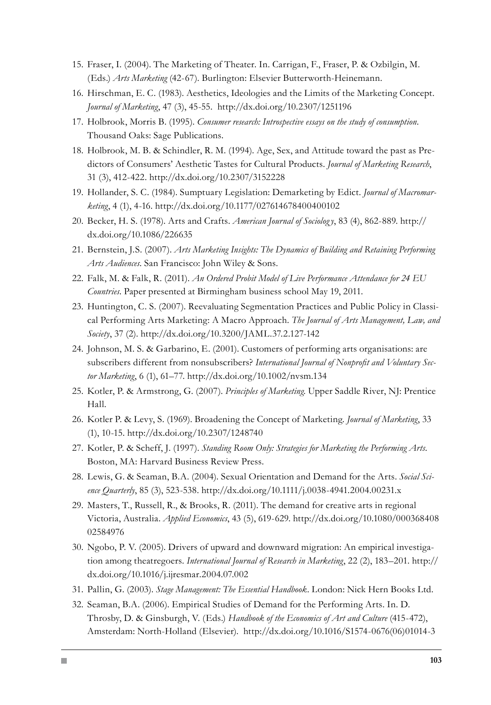- 15. Fraser, I. (2004). The Marketing of Theater. In. Carrigan, F., Fraser, P. & Ozbilgin, M. (Eds.) *Arts Marketing* (42-67). Burlington: Elsevier Butterworth-Heinemann.
- 16. Hirschman, E. C. (1983). Aesthetics, Ideologies and the Limits of the Marketing Concept. *Journal of Marketing*, 47 (3), 45-55. http://dx.doi.org/10.2307/1251196
- 17. Holbrook, Morris B. (1995). *Consumer research: Introspective essays on the study of consumption*. Thousand Oaks: Sage Publications.
- 18. Holbrook, M. B. & Schindler, R. M. (1994). Age, Sex, and Attitude toward the past as Predictors of Consumers' Aesthetic Tastes for Cultural Products. *Journal of Marketing Research*, 31 (3), 412-422. http://dx.doi.org/10.2307/3152228
- Hollander, S. C. (1984). Sumptuary Legislation: Demarketing by Edict. *Journal of Macromar-*19. *keting*, 4 (1), 4-16. http://dx.doi.org/10.1177/027614678400400102
- 20. Becker, H. S. (1978). Arts and Crafts. *American Journal of Sociology*, 83 (4), 862-889. http:// dx.doi.org/10.1086/226635
- 21. Bernstein, J.S. (2007). *Arts Marketing Insights: The Dynamics of Building and Retaining Performing Arts Audiences*. San Francisco: John Wiley & Sons.
- Falk, M. & Falk, R. (2011). *An Ordered Probit Model of Live Performance Attendance for 24 EU*  22. *Countries*. Paper presented at Birmingham business school May 19, 2011.
- 23. Huntington, C. S. (2007). Reevaluating Segmentation Practices and Public Policy in Classical Performing Arts Marketing: A Macro Approach. *The Journal of Arts Management, Law, and Society*, 37 (2). http://dx.doi.org/10.3200/JAML.37.2.127-142
- 24. Johnson, M. S. & Garbarino, E. (2001). Customers of performing arts organisations: are subscribers different from nonsubscribers? *International Journal of Nonprofit and Voluntary Sector Marketing*, 6 (1), 61–77. http://dx.doi.org/10.1002/nvsm.134
- 25. Kotler, P. & Armstrong, G. (2007). *Principles of Marketing*. Upper Saddle River, NJ: Prentice Hall.
- 26. Kotler P. & Levy, S. (1969). Broadening the Concept of Marketing. *Journal of Marketing*, 33 (1), 10-15. http://dx.doi.org/10.2307/1248740
- 27. Kotler, P. & Scheff, J. (1997). *Standing Room Only: Strategies for Marketing the Performing Arts*. Boston, MA: Harvard Business Review Press.
- Lewis, G. & Seaman, B.A. (2004). Sexual Orientation and Demand for the Arts. *Social Sci-*28. *ence Quarterly*, 85 (3), 523-538. http://dx.doi.org/10.1111/j.0038-4941.2004.00231.x
- 29. Masters, T., Russell, R., & Brooks, R. (2011). The demand for creative arts in regional Victoria, Australia. *Applied Economics*, 43 (5), 619-629. http://dx.doi.org/10.1080/000368408 02584976
- 30. Ngobo, P. V. (2005). Drivers of upward and downward migration: An empirical investigation among theatregoers. *International Journal of Research in Marketing*, 22 (2), 183–201. http:// dx.doi.org/10.1016/j.ijresmar.2004.07.002
- 31. Pallin, G. (2003). Stage Management: The Essential Handbook. London: Nick Hern Books Ltd.
- 32. Seaman, B.A. (2006). Empirical Studies of Demand for the Performing Arts. In. D. Throsby, D. & Ginsburgh, V. (Eds.) *Handbook of the Economics of Art and Culture* (415-472), Amsterdam: North-Holland (Elsevier). http://dx.doi.org/10.1016/S1574-0676(06)01014-3

H